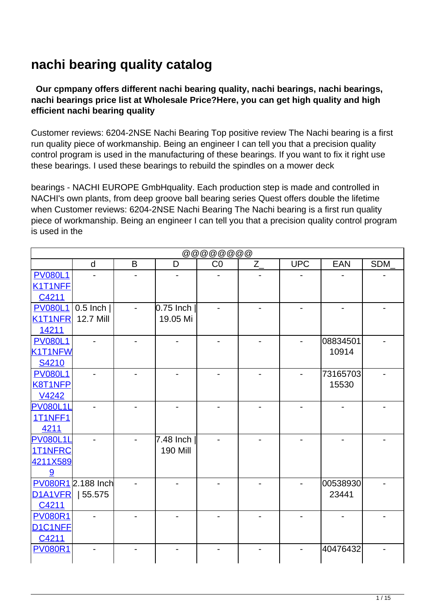## **nachi bearing quality catalog**

## **Our cpmpany offers different nachi bearing quality, nachi bearings, nachi bearings, nachi bearings price list at Wholesale Price?Here, you can get high quality and high efficient nachi bearing quality**

Customer reviews: 6204-2NSE Nachi Bearing Top positive review The Nachi bearing is a first run quality piece of workmanship. Being an engineer I can tell you that a precision quality control program is used in the manufacturing of these bearings. If you want to fix it right use these bearings. I used these bearings to rebuild the spindles on a mower deck

bearings - NACHI EUROPE GmbHquality. Each production step is made and controlled in NACHI's own plants, from deep groove ball bearing series Quest offers double the lifetime when Customer reviews: 6204-2NSE Nachi Bearing The Nachi bearing is a first run quality piece of workmanship. Being an engineer I can tell you that a precision quality control program is used in the

| @@@@@@@@@       |                    |   |                 |    |         |            |                              |            |  |
|-----------------|--------------------|---|-----------------|----|---------|------------|------------------------------|------------|--|
|                 | d                  | B | D               | CO | $Z_{-}$ | <b>UPC</b> | <b>EAN</b>                   | <b>SDM</b> |  |
| <b>PV080L1</b>  |                    |   |                 |    |         |            |                              |            |  |
| K1T1NFF         |                    |   |                 |    |         |            |                              |            |  |
| C4211           |                    |   |                 |    |         |            |                              |            |  |
| <b>PV080L1</b>  | $0.5$ Inch         |   | $0.75$ Inch     |    |         |            | $\qquad \qquad \blacksquare$ |            |  |
| <b>K1T1NFR</b>  | <b>12.7 Mill</b>   |   | 19.05 Mi        |    |         |            |                              |            |  |
| 14211           |                    |   |                 |    |         |            |                              |            |  |
| <b>PV080L1</b>  |                    |   |                 |    |         |            | 08834501                     |            |  |
| K1T1NFW         |                    |   |                 |    |         |            | 10914                        |            |  |
| S4210           |                    |   |                 |    |         |            |                              |            |  |
| <b>PV080L1</b>  |                    |   |                 |    |         |            | 73165703                     |            |  |
| <b>K8T1NFP</b>  |                    |   |                 |    |         |            | 15530                        |            |  |
| V4242           |                    |   |                 |    |         |            |                              |            |  |
| <b>PV080L1L</b> |                    |   |                 |    |         |            |                              |            |  |
| 1T1NFF1         |                    |   |                 |    |         |            |                              |            |  |
| 4211            |                    |   |                 |    |         |            |                              |            |  |
| <b>PV080L1L</b> |                    |   | 7.48 Inch       |    |         |            |                              |            |  |
| 1T1NFRC         |                    |   | <b>190 Mill</b> |    |         |            |                              |            |  |
| 4211X589        |                    |   |                 |    |         |            |                              |            |  |
| 9               |                    |   |                 |    |         |            |                              |            |  |
|                 | PV080R1 2.188 Inch |   |                 |    |         |            | 00538930                     |            |  |
| D1A1VFR         | 55.575             |   |                 |    |         |            | 23441                        |            |  |
| C4211           |                    |   |                 |    |         |            |                              |            |  |
| <b>PV080R1</b>  |                    |   |                 |    |         |            |                              |            |  |
| D1C1NFF         |                    |   |                 |    |         |            |                              |            |  |
| C4211           |                    |   |                 |    |         |            |                              |            |  |
| <b>PV080R1</b>  |                    |   |                 |    |         |            | 40476432                     |            |  |
|                 |                    |   |                 |    |         |            |                              |            |  |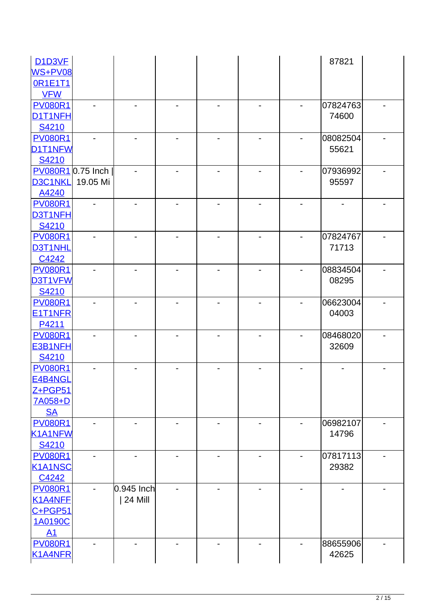| D <sub>1</sub> D <sub>3</sub> VF |          |              |                |  |                          | 87821    |  |
|----------------------------------|----------|--------------|----------------|--|--------------------------|----------|--|
| WS+PV08                          |          |              |                |  |                          |          |  |
| <b>OR1E1T1</b>                   |          |              |                |  |                          |          |  |
| <b>VFW</b>                       |          |              |                |  |                          |          |  |
| <b>PV080R1</b>                   |          |              |                |  |                          | 07824763 |  |
| D1T1NFH                          |          |              |                |  |                          | 74600    |  |
| S4210                            |          |              |                |  |                          |          |  |
| <b>PV080R1</b>                   |          |              |                |  |                          | 08082504 |  |
| D1T1NFW                          |          |              |                |  |                          | 55621    |  |
| S4210                            |          |              |                |  |                          |          |  |
| PV080R10.75 Inch                 |          |              |                |  |                          | 07936992 |  |
| D3C1NKL                          | 19.05 Mi |              |                |  |                          | 95597    |  |
| A4240                            |          |              |                |  |                          |          |  |
| <b>PV080R1</b>                   |          |              |                |  |                          |          |  |
| D3T1NFH                          |          |              |                |  |                          |          |  |
| S4210                            |          |              |                |  |                          |          |  |
| <b>PV080R1</b>                   |          |              |                |  |                          | 07824767 |  |
| D3T1NHL                          |          |              |                |  |                          | 71713    |  |
| C4242                            |          |              |                |  |                          |          |  |
| <b>PV080R1</b>                   |          |              |                |  |                          | 08834504 |  |
| D3T1VFW                          |          |              |                |  |                          | 08295    |  |
| S4210                            |          |              |                |  |                          |          |  |
| <b>PV080R1</b>                   |          |              |                |  |                          | 06623004 |  |
| E1T1NFR                          |          |              |                |  |                          | 04003    |  |
| P4211                            |          |              |                |  |                          |          |  |
| <b>PV080R1</b>                   |          |              |                |  |                          | 08468020 |  |
| E3B1NFH                          |          |              |                |  |                          | 32609    |  |
| S4210                            |          |              |                |  |                          |          |  |
| <b>PV080R1</b>                   |          |              |                |  |                          |          |  |
| E4B4NGL                          |          |              |                |  |                          |          |  |
| Z+PGP51                          |          |              |                |  |                          |          |  |
| 7A058+D                          |          |              |                |  |                          |          |  |
| <b>SA</b>                        |          |              |                |  |                          |          |  |
| <b>PV080R1</b>                   |          |              |                |  |                          | 06982107 |  |
| K1A1NFW                          |          |              |                |  |                          | 14796    |  |
| S4210                            |          |              |                |  |                          |          |  |
| <b>PV080R1</b>                   |          |              | $\overline{a}$ |  | $\blacksquare$           | 07817113 |  |
| <b>K1A1NSC</b>                   |          |              |                |  |                          | 29382    |  |
| C4242                            |          |              |                |  |                          |          |  |
| <b>PV080R1</b>                   |          | $0.945$ Inch |                |  | $\overline{\phantom{0}}$ |          |  |
| K1A4NFF                          |          | 24 Mill      |                |  |                          |          |  |
| C+PGP51                          |          |              |                |  |                          |          |  |
| 1A0190C                          |          |              |                |  |                          |          |  |
| A1                               |          |              |                |  |                          |          |  |
| <b>PV080R1</b>                   |          |              |                |  |                          | 88655906 |  |
|                                  |          |              |                |  |                          |          |  |
| <b>K1A4NFR</b>                   |          |              |                |  |                          | 42625    |  |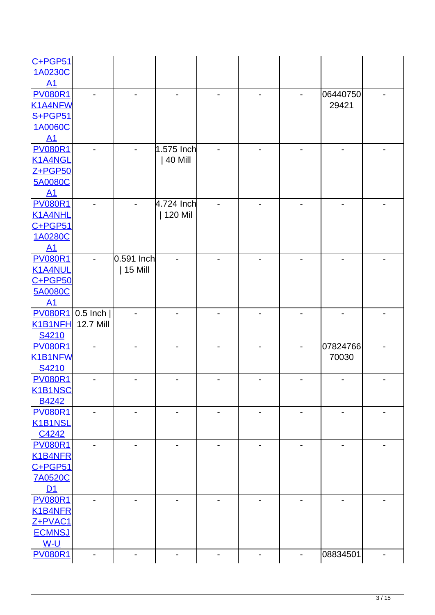| $C+PGP51$                         |                  |              |                          |                |  |                |  |
|-----------------------------------|------------------|--------------|--------------------------|----------------|--|----------------|--|
| 1A0230C                           |                  |              |                          |                |  |                |  |
| A1                                |                  |              |                          |                |  |                |  |
| <b>PV080R1</b>                    |                  |              |                          |                |  | 06440750       |  |
| K1A4NFW                           |                  |              |                          |                |  | 29421          |  |
| S+PGP51                           |                  |              |                          |                |  |                |  |
| 1A0060C                           |                  |              |                          |                |  |                |  |
| A1                                |                  |              |                          |                |  |                |  |
| <b>PV080R1</b>                    |                  |              | 1.575 Inch               |                |  |                |  |
| K1A4NGL                           |                  |              | 40 Mill                  |                |  |                |  |
| $Z + PGP50$                       |                  |              |                          |                |  |                |  |
| <b>5A0080C</b>                    |                  |              |                          |                |  |                |  |
| A1                                |                  |              |                          |                |  |                |  |
| <b>PV080R1</b>                    |                  |              | 4.724 Inch               |                |  |                |  |
| K1A4NHL                           |                  |              | 120 Mil                  |                |  |                |  |
| C+PGP51                           |                  |              |                          |                |  |                |  |
| 1A0280C                           |                  |              |                          |                |  |                |  |
| A1                                |                  |              |                          |                |  |                |  |
| <b>PV080R1</b>                    |                  | $0.591$ Inch |                          |                |  |                |  |
| K1A4NUL                           |                  | 15 Mill      |                          |                |  |                |  |
| C+PGP50                           |                  |              |                          |                |  |                |  |
| <b>5A0080C</b>                    |                  |              |                          |                |  |                |  |
| A1                                |                  |              |                          |                |  |                |  |
| <b>PV080R1</b>                    | $0.5$ Inch $ $   |              |                          |                |  |                |  |
| K1B1NFH                           | <b>12.7 Mill</b> |              |                          |                |  |                |  |
| S4210                             |                  |              |                          |                |  |                |  |
| <b>PV080R1</b>                    |                  |              |                          |                |  | 07824766       |  |
| <b>K1B1NFW</b>                    |                  |              |                          |                |  | 70030          |  |
| S4210                             |                  |              |                          |                |  |                |  |
| <b>PV080R1</b>                    |                  |              |                          |                |  |                |  |
| K <sub>1</sub> B <sub>1</sub> NSC |                  |              |                          |                |  |                |  |
| B4242                             |                  |              |                          |                |  |                |  |
| <b>PV080R1</b>                    |                  |              | $\overline{\phantom{0}}$ | $\blacksquare$ |  | $\blacksquare$ |  |
| K1B1NSL                           |                  |              |                          |                |  |                |  |
| C4242                             |                  |              |                          |                |  |                |  |
| <b>PV080R1</b>                    |                  |              |                          |                |  |                |  |
| K1B4NFR                           |                  |              |                          |                |  |                |  |
| $C + PGP51$                       |                  |              |                          |                |  |                |  |
| <b>7A0520C</b>                    |                  |              |                          |                |  |                |  |
| D <sub>1</sub>                    |                  |              |                          |                |  |                |  |
| <b>PV080R1</b>                    |                  |              |                          |                |  |                |  |
| K1B4NFR                           |                  |              |                          |                |  |                |  |
| Z+PVAC1                           |                  |              |                          |                |  |                |  |
| <b>ECMNSJ</b>                     |                  |              |                          |                |  |                |  |
| $W-U$                             |                  |              |                          |                |  |                |  |
| <b>PV080R1</b>                    |                  |              |                          |                |  | 08834501       |  |
|                                   |                  |              |                          |                |  |                |  |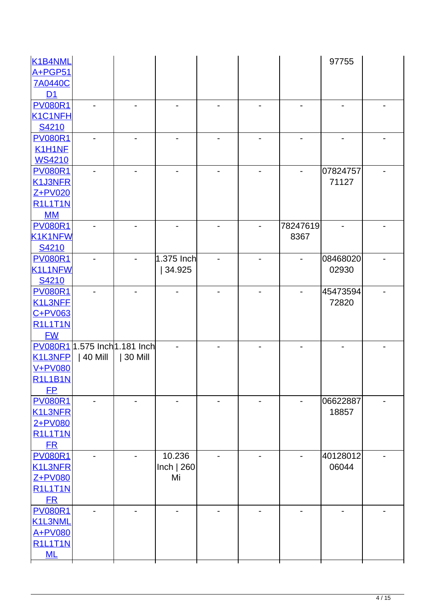| K1B4NML        |                               |         |              |  |          | 97755    |  |
|----------------|-------------------------------|---------|--------------|--|----------|----------|--|
| A+PGP51        |                               |         |              |  |          |          |  |
| <b>7A0440C</b> |                               |         |              |  |          |          |  |
| D1             |                               |         |              |  |          |          |  |
| <b>PV080R1</b> |                               |         |              |  |          |          |  |
| K1C1NFH        |                               |         |              |  |          |          |  |
| S4210          |                               |         |              |  |          |          |  |
| <b>PV080R1</b> |                               |         |              |  |          |          |  |
| K1H1NF         |                               |         |              |  |          |          |  |
| <b>WS4210</b>  |                               |         |              |  |          |          |  |
| <b>PV080R1</b> |                               |         |              |  |          | 07824757 |  |
| K1J3NFR        |                               |         |              |  |          | 71127    |  |
| Z+PV020        |                               |         |              |  |          |          |  |
| <b>R1L1T1N</b> |                               |         |              |  |          |          |  |
| MM             |                               |         |              |  |          |          |  |
| <b>PV080R1</b> |                               |         |              |  | 78247619 |          |  |
| K1K1NFW        |                               |         |              |  | 8367     |          |  |
| S4210          |                               |         |              |  |          |          |  |
| <b>PV080R1</b> |                               |         | $1.375$ Inch |  |          | 08468020 |  |
| K1L1NFW        |                               |         | 34.925       |  |          | 02930    |  |
| S4210          |                               |         |              |  |          |          |  |
| <b>PV080R1</b> |                               |         |              |  |          | 45473594 |  |
| K1L3NFF        |                               |         |              |  |          | 72820    |  |
| $C+PV$ 063     |                               |         |              |  |          |          |  |
| <b>R1L1T1N</b> |                               |         |              |  |          |          |  |
| <b>FW</b>      |                               |         |              |  |          |          |  |
|                | PV080R1 1.575 Inch 1.181 Inch |         |              |  |          |          |  |
| K1L3NFP        | 40 Mill                       | 30 Mill |              |  |          |          |  |
| <b>V+PV080</b> |                               |         |              |  |          |          |  |
| <b>R1L1B1N</b> |                               |         |              |  |          |          |  |
| <b>FP</b>      |                               |         |              |  |          |          |  |
| <b>PV080R1</b> |                               |         |              |  |          | 06622887 |  |
| <b>K1L3NFR</b> |                               |         |              |  |          | 18857    |  |
| 2+PV080        |                               |         |              |  |          |          |  |
| <b>R1L1T1N</b> |                               |         |              |  |          |          |  |
| ER             |                               |         |              |  |          |          |  |
| <b>PV080R1</b> |                               |         | 10.236       |  |          | 40128012 |  |
| <b>K1L3NFR</b> |                               |         | Inch $ 260$  |  |          | 06044    |  |
| Z+PV080        |                               |         | Mi           |  |          |          |  |
| <b>R1L1T1N</b> |                               |         |              |  |          |          |  |
| ER             |                               |         |              |  |          |          |  |
| <b>PV080R1</b> |                               |         |              |  |          |          |  |
| K1L3NML        |                               |         |              |  |          |          |  |
| A+PV080        |                               |         |              |  |          |          |  |
| <b>R1L1T1N</b> |                               |         |              |  |          |          |  |
| ML             |                               |         |              |  |          |          |  |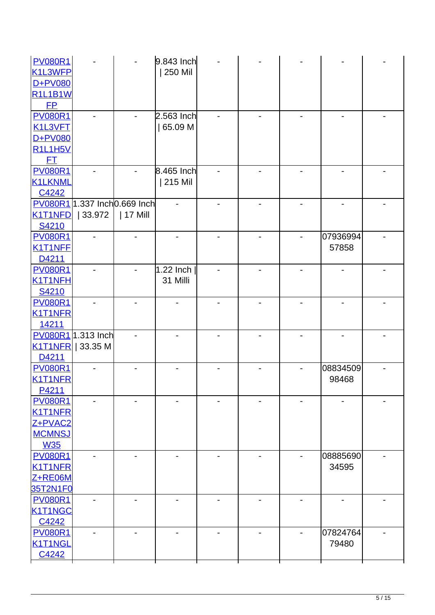| <b>PV080R1</b><br>K1L3WFP<br>D+PV080                                       |                                         |            | 9.843 Inch<br>250 Mil   |  |                   |  |
|----------------------------------------------------------------------------|-----------------------------------------|------------|-------------------------|--|-------------------|--|
| <b>R1L1B1W</b><br>E                                                        |                                         |            |                         |  |                   |  |
| <b>PV080R1</b><br>K1L3VFT<br>D+PV080<br><b>R1L1H5V</b>                     |                                         |            | 2.563 Inch<br>65.09 M   |  |                   |  |
| FT<br><b>PV080R1</b><br><b>K1LKNML</b><br>C4242                            |                                         |            | 8.465 Inch<br>215 Mil   |  |                   |  |
| <b>K1T1NFD</b><br>S4210                                                    | PV080R1 1.337 Inch0.669 Inch<br> 33.972 | $ 17$ Mill |                         |  |                   |  |
| <b>PV080R1</b><br>K1T1NFE<br>D4211                                         |                                         |            |                         |  | 07936994<br>57858 |  |
| <b>PV080R1</b><br>K1T1NFH<br>S4210                                         |                                         |            | $1.22$ Inch<br>31 Milli |  |                   |  |
| <b>PV080R1</b><br><b>K1T1NFR</b><br>14211                                  |                                         |            |                         |  |                   |  |
| D4211                                                                      | PV080R1 1.313 Inch<br>K1T1NFR   33.35 M |            |                         |  |                   |  |
| <b>PV080R1</b><br>K1T1NFR<br>P4211                                         |                                         |            |                         |  | 08834509<br>98468 |  |
| <b>PV080R1</b><br><b>K1T1NFR</b><br>Z+PVAC2<br><b>MCMNSJ</b><br><b>W35</b> |                                         |            |                         |  |                   |  |
| <b>PV080R1</b><br><b>K1T1NFR</b><br>Z+RE06M<br>35T2N1F0                    |                                         |            |                         |  | 08885690<br>34595 |  |
| <b>PV080R1</b><br>K1T1NGC<br>C4242                                         |                                         |            |                         |  |                   |  |
| <b>PV080R1</b><br>K1T1NGL<br>C4242                                         |                                         |            |                         |  | 07824764<br>79480 |  |
|                                                                            |                                         |            |                         |  |                   |  |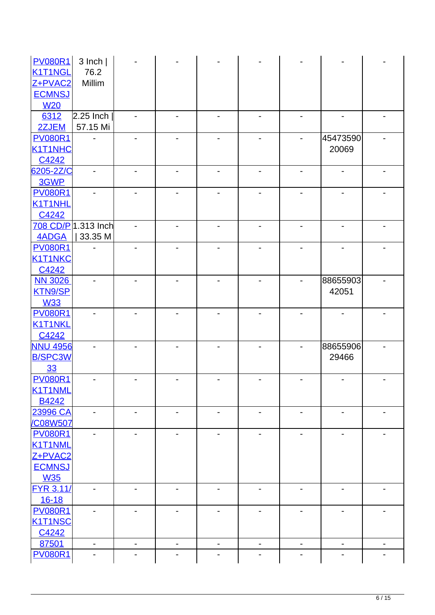| <b>PV080R1</b>                | $3$ lnch $ $        |                              |                              |                          |                          |                              |                          |   |
|-------------------------------|---------------------|------------------------------|------------------------------|--------------------------|--------------------------|------------------------------|--------------------------|---|
| K1T1NGL                       | 76.2                |                              |                              |                          |                          |                              |                          |   |
| Z+PVAC2                       | Millim              |                              |                              |                          |                          |                              |                          |   |
| <b>ECMNSJ</b>                 |                     |                              |                              |                          |                          |                              |                          |   |
| <b>W20</b>                    |                     |                              |                              |                          |                          |                              |                          |   |
| 6312                          | 2.25 Inch           |                              |                              |                          |                          |                              |                          |   |
| 2ZJEM                         | 57.15 Mi            |                              |                              |                          |                          |                              |                          |   |
| <b>PV080R1</b>                |                     |                              |                              |                          |                          |                              | 45473590                 |   |
| <b>K1T1NHC</b>                |                     |                              |                              |                          |                          |                              | 20069                    |   |
| C4242                         |                     |                              |                              |                          |                          |                              |                          |   |
| 6205-2Z/C                     |                     |                              |                              | -                        |                          | $\qquad \qquad \blacksquare$ | -                        |   |
| 3GWP                          |                     |                              |                              |                          |                          |                              |                          |   |
| <b>PV080R1</b>                |                     |                              |                              |                          |                          |                              |                          |   |
| <b>K1T1NHL</b>                |                     |                              |                              |                          |                          |                              |                          |   |
| C4242                         |                     |                              |                              |                          |                          |                              |                          |   |
|                               | 708 CD/P 1.313 Inch |                              |                              |                          |                          |                              |                          |   |
| <b>4ADGA</b>                  | 33.35 M             |                              |                              |                          |                          |                              |                          |   |
| <b>PV080R1</b>                |                     |                              |                              |                          |                          |                              |                          |   |
| <b>K1T1NKC</b>                |                     |                              |                              |                          |                          |                              |                          |   |
| C4242                         |                     |                              |                              |                          |                          |                              |                          |   |
| <b>NN 3026</b>                |                     |                              |                              |                          |                          |                              | 88655903                 |   |
| <b>KTN9/SP</b>                |                     |                              |                              |                          |                          |                              | 42051                    |   |
| <b>W33</b>                    |                     |                              |                              |                          |                          |                              |                          |   |
| <b>PV080R1</b>                |                     |                              |                              |                          |                          |                              |                          |   |
| <b>K1T1NKL</b>                |                     |                              |                              |                          |                          |                              |                          |   |
| C4242                         |                     |                              |                              |                          |                          |                              |                          |   |
| <b>NNU 4956</b>               |                     |                              |                              |                          |                          |                              | 88655906                 |   |
| <b>B/SPC3W</b>                |                     |                              |                              |                          |                          |                              | 29466                    |   |
| 33                            |                     |                              |                              |                          |                          |                              |                          |   |
| <b>PV080R1</b>                |                     |                              |                              |                          |                          |                              |                          |   |
| K1T1NML                       |                     |                              |                              |                          |                          |                              |                          |   |
| B4242                         |                     |                              |                              |                          |                          |                              |                          |   |
| 23996 CA                      |                     |                              | $\blacksquare$               | $\blacksquare$           |                          | $\overline{\phantom{0}}$     | $\overline{\phantom{0}}$ |   |
| /C08W507                      |                     |                              |                              |                          |                          |                              |                          |   |
| <b>PV080R1</b>                |                     |                              |                              |                          |                          |                              |                          |   |
| <b>K1T1NML</b>                |                     |                              |                              |                          |                          |                              |                          |   |
| Z+PVAC2                       |                     |                              |                              |                          |                          |                              |                          |   |
| <b>ECMNSJ</b>                 |                     |                              |                              |                          |                          |                              |                          |   |
| <b>W35</b>                    |                     |                              |                              |                          |                          |                              |                          |   |
| <b>FYR 3.11/</b><br>$16 - 18$ |                     |                              |                              |                          |                          |                              |                          |   |
| <b>PV080R1</b>                |                     |                              |                              |                          |                          |                              |                          |   |
| <b>K1T1NSC</b>                |                     |                              |                              |                          |                          |                              |                          |   |
| C4242                         |                     |                              |                              |                          |                          |                              |                          |   |
| 87501                         | -                   | $\qquad \qquad \blacksquare$ | $\qquad \qquad \blacksquare$ | $\overline{\phantom{a}}$ | $\overline{\phantom{a}}$ | $\overline{\phantom{a}}$     | $\overline{\phantom{a}}$ | - |
| <b>PV080R1</b>                |                     |                              |                              |                          |                          |                              |                          |   |
|                               |                     |                              |                              |                          |                          |                              |                          |   |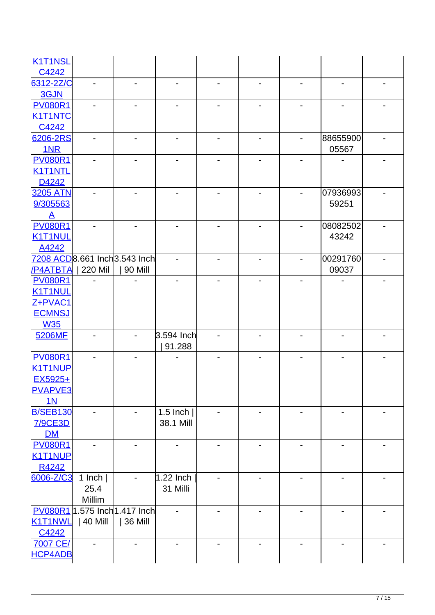| K <sub>1</sub> T <sub>1</sub> NSL |                               |         |                          |                          |                          |          |  |
|-----------------------------------|-------------------------------|---------|--------------------------|--------------------------|--------------------------|----------|--|
| C4242                             |                               |         |                          |                          |                          |          |  |
| 6312-2Z/C                         |                               |         |                          |                          |                          |          |  |
| 3GJN                              |                               |         |                          |                          |                          |          |  |
| <b>PV080R1</b>                    |                               |         |                          |                          |                          |          |  |
| <b>K1T1NTC</b>                    |                               |         |                          |                          |                          |          |  |
| C4242                             |                               |         |                          |                          |                          |          |  |
| 6206-2RS                          |                               |         |                          |                          |                          | 88655900 |  |
| <b>1NR</b>                        |                               |         |                          |                          |                          | 05567    |  |
| <b>PV080R1</b>                    |                               |         |                          |                          |                          |          |  |
| <b>K1T1NTL</b>                    |                               |         |                          |                          |                          |          |  |
| D4242                             |                               |         |                          |                          |                          |          |  |
| <b>3205 ATN</b>                   |                               |         |                          |                          |                          | 07936993 |  |
| 9/305563                          |                               |         |                          |                          |                          | 59251    |  |
| $\mathbf{A}$                      |                               |         |                          |                          |                          |          |  |
| <b>PV080R1</b>                    |                               |         |                          |                          |                          | 08082502 |  |
| <b>K1T1NUL</b>                    |                               |         |                          |                          |                          | 43242    |  |
| A4242                             |                               |         |                          |                          |                          |          |  |
|                                   | 7208 ACD8.661 Inch 3.543 Inch |         |                          |                          |                          | 00291760 |  |
| /P4ATBTA<br><b>PV080R1</b>        | 220 Mil                       | 90 Mill |                          |                          |                          | 09037    |  |
| <b>K1T1NUL</b>                    |                               |         |                          |                          |                          |          |  |
| Z+PVAC1                           |                               |         |                          |                          |                          |          |  |
| <b>ECMNSJ</b>                     |                               |         |                          |                          |                          |          |  |
| <b>W35</b>                        |                               |         |                          |                          |                          |          |  |
| 5206MF                            |                               |         | 3.594 Inch               |                          |                          |          |  |
|                                   |                               |         | 91.288                   |                          |                          |          |  |
| <b>PV080R1</b>                    |                               |         |                          |                          |                          |          |  |
| <b>K1T1NUP</b>                    |                               |         |                          |                          |                          |          |  |
| EX5925+                           |                               |         |                          |                          |                          |          |  |
| <b>PVAPVE3</b>                    |                               |         |                          |                          |                          |          |  |
| 1 <sub>N</sub>                    |                               |         |                          |                          |                          |          |  |
| <b>B/SEB130</b>                   |                               |         | 1.5 Inch $ $             |                          |                          |          |  |
| <b>7/9CE3D</b>                    |                               |         | 38.1 Mill                |                          |                          |          |  |
| DM                                |                               |         |                          |                          |                          |          |  |
| <b>PV080R1</b>                    |                               |         |                          |                          |                          |          |  |
| K1T1NUP                           |                               |         |                          |                          |                          |          |  |
| R4242                             |                               |         |                          |                          |                          |          |  |
| 6006-Z/C3                         | 1 Inch $ $                    |         | 1.22 Inch                |                          |                          |          |  |
|                                   | 25.4                          |         | 31 Milli                 |                          |                          |          |  |
|                                   | <b>Millim</b>                 |         |                          |                          |                          |          |  |
|                                   | PV080R1 1.575 Inch 1.417 Inch |         |                          |                          |                          |          |  |
| K1T1NWL                           | 40 Mill                       | 36 Mill |                          |                          |                          |          |  |
| C4242                             |                               |         |                          |                          |                          |          |  |
| <b>7007 CE/</b>                   |                               |         | $\overline{\phantom{0}}$ | $\overline{\phantom{a}}$ | $\overline{\phantom{0}}$ | -        |  |
| <b>HCP4ADB</b>                    |                               |         |                          |                          |                          |          |  |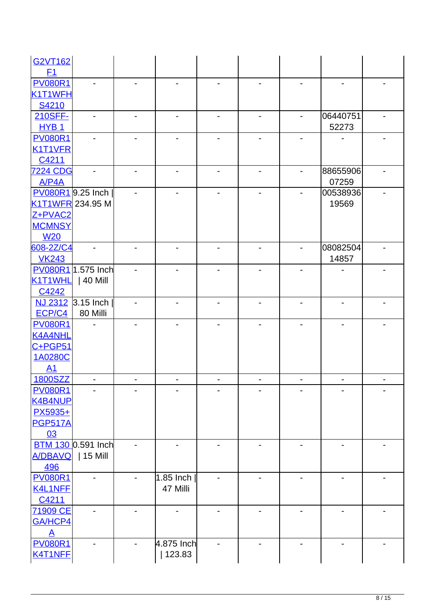| <b>G2VT162</b>   |                           |            |                |   |                          |                              |  |
|------------------|---------------------------|------------|----------------|---|--------------------------|------------------------------|--|
| F <sub>1</sub>   |                           |            |                |   |                          |                              |  |
| <b>PV080R1</b>   |                           |            |                |   |                          | $\blacksquare$               |  |
| K1T1WFH          |                           |            |                |   |                          |                              |  |
| S4210            |                           |            |                |   |                          |                              |  |
| 210SFF-          |                           |            |                |   |                          | 06440751                     |  |
| HYB <sub>1</sub> |                           |            |                |   |                          | 52273                        |  |
| <b>PV080R1</b>   |                           |            |                |   |                          |                              |  |
| K1T1VFR          |                           |            |                |   |                          |                              |  |
| C4211            |                           |            |                |   |                          |                              |  |
| <b>7224 CDG</b>  |                           |            |                |   |                          | 88655906                     |  |
| A/P4A            |                           |            |                |   |                          | 07259                        |  |
|                  | PV080R19.25 Inch          |            |                |   |                          | 00538936                     |  |
| K1T1WFR 234.95 M |                           |            |                |   |                          | 19569                        |  |
| Z+PVAC2          |                           |            |                |   |                          |                              |  |
| <b>MCMNSY</b>    |                           |            |                |   |                          |                              |  |
| <b>W20</b>       |                           |            |                |   |                          |                              |  |
| 608-2Z/C4        |                           |            |                |   |                          | 08082504                     |  |
| <b>VK243</b>     |                           |            |                |   |                          | 14857                        |  |
|                  | PV080R1 1.575 Inch        |            |                |   |                          |                              |  |
| K1T1WHL          | 40 Mill                   |            |                |   |                          |                              |  |
| C4242            |                           |            |                |   |                          |                              |  |
|                  | NJ 2312 3.15 Inch         |            |                |   |                          | $\overline{\phantom{0}}$     |  |
| ECP/C4           | 80 Milli                  |            |                |   |                          |                              |  |
| <b>PV080R1</b>   |                           |            |                |   |                          |                              |  |
| <b>K4A4NHL</b>   |                           |            |                |   |                          |                              |  |
| C+PGP51          |                           |            |                |   |                          |                              |  |
| 1A0280C          |                           |            |                |   |                          |                              |  |
| A1               |                           |            |                |   |                          |                              |  |
| 1800SZZ          |                           |            |                |   |                          |                              |  |
| <b>PV080R1</b>   |                           |            |                |   |                          |                              |  |
| <b>K4B4NUP</b>   |                           |            |                |   |                          |                              |  |
| PX5935+          |                           |            |                |   |                          |                              |  |
| <b>PGP517A</b>   |                           |            |                |   |                          |                              |  |
| 03               |                           |            |                |   |                          |                              |  |
|                  | <b>BTM 130 0.591 Inch</b> |            |                |   |                          |                              |  |
| A/DBAVQ          | 15 Mill                   |            |                |   |                          |                              |  |
| 496              |                           |            |                |   |                          |                              |  |
| <b>PV080R1</b>   |                           | 1.85 Inch  |                |   |                          |                              |  |
| K4L1NFF          |                           | 47 Milli   |                |   |                          |                              |  |
| C4211            |                           |            |                |   |                          |                              |  |
| 71909 CE         |                           |            |                |   |                          |                              |  |
| GA/HCP4          |                           |            |                |   |                          |                              |  |
| <u>A</u>         |                           |            |                |   |                          |                              |  |
| <b>PV080R1</b>   |                           | 4.875 Inch | $\overline{a}$ | - | $\overline{\phantom{a}}$ | $\qquad \qquad \blacksquare$ |  |
| K4T1NFF          |                           | 123.83     |                |   |                          |                              |  |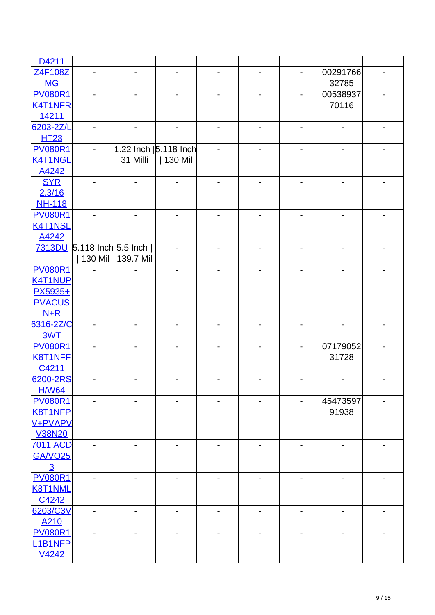| 00291766<br>Z4F108Z<br>32785<br><b>MG</b><br><b>PV080R1</b><br>00538937 |  |
|-------------------------------------------------------------------------|--|
|                                                                         |  |
|                                                                         |  |
|                                                                         |  |
| 70116<br><b>K4T1NFR</b>                                                 |  |
| 14211                                                                   |  |
| 6203-2Z/L<br>-<br>$\overline{\phantom{a}}$<br>-                         |  |
| <b>HT23</b>                                                             |  |
| <b>PV080R1</b><br>1.22 Inch   5.118 Inch                                |  |
| <b>K4T1NGL</b><br>31 Milli<br>  130 Mil                                 |  |
| A4242                                                                   |  |
| <b>SYR</b>                                                              |  |
| 2.3/16                                                                  |  |
| <b>NH-118</b>                                                           |  |
| <b>PV080R1</b>                                                          |  |
| <b>K4T1NSL</b>                                                          |  |
| A4242                                                                   |  |
| 7313DU 5.118 Inch 5.5 Inch                                              |  |
| 139.7 Mil<br>130 Mil                                                    |  |
| <b>PV080R1</b>                                                          |  |
| <b>K4T1NUP</b>                                                          |  |
| PX5935+                                                                 |  |
| <b>PVACUS</b>                                                           |  |
| $N+R$                                                                   |  |
| 6316-2Z/C                                                               |  |
| 3WT                                                                     |  |
| <b>PV080R1</b><br>07179052                                              |  |
| <b>K8T1NFF</b><br>31728                                                 |  |
| C4211                                                                   |  |
| 6200-2RS<br>$\qquad \qquad \blacksquare$                                |  |
| <b>H/W64</b>                                                            |  |
| <b>PV080R1</b><br>45473597                                              |  |
| <b>K8T1NFP</b><br>91938                                                 |  |
| V+PVAPV                                                                 |  |
| <b>V38N20</b>                                                           |  |
| <b>7011 ACD</b>                                                         |  |
| GA/VQ25                                                                 |  |
| $\overline{3}$                                                          |  |
| <b>PV080R1</b>                                                          |  |
| <b>K8T1NML</b>                                                          |  |
| C4242                                                                   |  |
| 6203/C3V                                                                |  |
| A210                                                                    |  |
| <b>PV080R1</b>                                                          |  |
| L <sub>1</sub> B <sub>1</sub> NFP                                       |  |
| V4242                                                                   |  |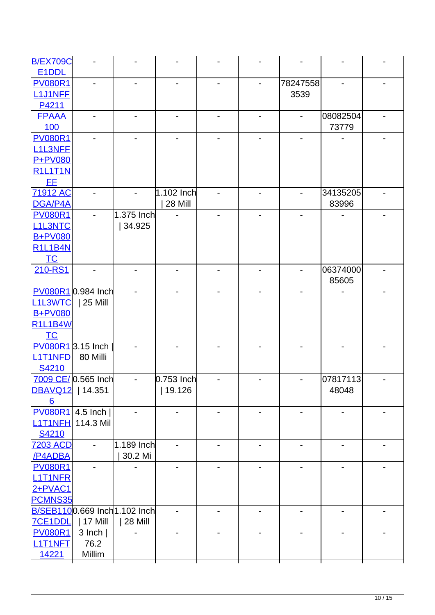| <b>B/EX709C</b>                   |                     |                               |              |  |          |                              |  |
|-----------------------------------|---------------------|-------------------------------|--------------|--|----------|------------------------------|--|
| E <sub>1</sub> D <sub>DL</sub>    |                     |                               |              |  |          |                              |  |
| <b>PV080R1</b>                    |                     |                               |              |  | 78247558 |                              |  |
| <b>L1J1NFF</b>                    |                     |                               |              |  | 3539     |                              |  |
| P4211                             |                     |                               |              |  |          |                              |  |
| <b>FPAAA</b>                      |                     |                               |              |  |          | 08082504                     |  |
| 100                               |                     |                               |              |  |          | 73779                        |  |
| <b>PV080R1</b>                    |                     |                               |              |  |          |                              |  |
| <b>L1L3NFF</b>                    |                     |                               |              |  |          |                              |  |
| <b>P+PV080</b>                    |                     |                               |              |  |          |                              |  |
| <b>R1L1T1N</b>                    |                     |                               |              |  |          |                              |  |
| <b>FF</b>                         |                     |                               |              |  |          |                              |  |
| <b>71912 AC</b>                   |                     |                               | 1.102 Inch   |  |          | 34135205                     |  |
| DGA/P4A                           |                     |                               | 28 Mill      |  |          | 83996                        |  |
| <b>PV080R1</b>                    |                     | 1.375 Inch                    |              |  |          |                              |  |
| <b>L1L3NTC</b>                    |                     | 34.925                        |              |  |          |                              |  |
| <b>B+PV080</b>                    |                     |                               |              |  |          |                              |  |
| <b>R1L1B4N</b>                    |                     |                               |              |  |          |                              |  |
| $TC$                              |                     |                               |              |  |          |                              |  |
| 210-RS1                           |                     |                               |              |  |          | 06374000                     |  |
|                                   |                     |                               |              |  |          | 85605                        |  |
|                                   | PV080R10.984 Inch   |                               |              |  |          |                              |  |
| L <sub>1</sub> L <sub>3</sub> WTC | 25 Mill             |                               |              |  |          |                              |  |
| <b>B+PV080</b>                    |                     |                               |              |  |          |                              |  |
| <b>R1L1B4W</b>                    |                     |                               |              |  |          |                              |  |
| TC                                |                     |                               |              |  |          |                              |  |
|                                   | PV080R1 3.15 Inch   |                               |              |  |          |                              |  |
| <b>L1T1NFD</b>                    | 80 Milli            |                               |              |  |          |                              |  |
| S4210                             |                     |                               |              |  |          |                              |  |
|                                   | 7009 CE/ 0.565 Inch | $\overline{\phantom{0}}$      | $0.753$ Inch |  |          | 07817113                     |  |
| DBAVQ12   14.351                  |                     |                               | 19.126       |  |          | 48048                        |  |
| 6                                 |                     |                               |              |  |          |                              |  |
| <b>PV080R1</b>                    | 4.5 Inch $ $        |                               |              |  | -        | $\qquad \qquad \blacksquare$ |  |
| L1T1NFH                           | 114.3 Mil           |                               |              |  |          |                              |  |
| S4210                             |                     |                               |              |  |          |                              |  |
| <b>7203 ACD</b>                   |                     | 1.189 Inch                    |              |  |          |                              |  |
| /P4ADBA                           |                     | 30.2 Mi                       |              |  |          |                              |  |
| <b>PV080R1</b>                    |                     |                               |              |  |          |                              |  |
| <b>L1T1NFR</b>                    |                     |                               |              |  |          |                              |  |
| 2+PVAC1                           |                     |                               |              |  |          |                              |  |
| <b>PCMNS35</b>                    |                     |                               |              |  |          |                              |  |
|                                   |                     | B/SEB1100.669 Inch 1.102 Inch |              |  |          |                              |  |
| <b>7CE1DDL</b>                    | 17 Mill             | 28 Mill                       |              |  |          |                              |  |
| <b>PV080R1</b>                    | $3$ lnch $ $        |                               |              |  |          |                              |  |
| L1T1NFT                           | 76.2                |                               |              |  |          |                              |  |
| <u>14221</u>                      | Millim              |                               |              |  |          |                              |  |
|                                   |                     |                               |              |  |          |                              |  |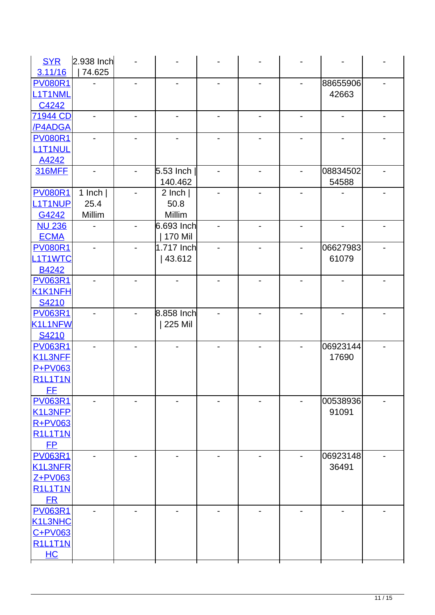| 74.625<br>3.11/16<br><b>PV080R1</b><br>88655906<br>$\overline{\phantom{a}}$<br>-<br>-<br>$\overline{\phantom{a}}$<br>L <sub>1</sub> T <sub>1</sub> NML<br>42663<br>C4242<br>71944 CD<br>/P4ADGA<br><b>PV080R1</b><br><b>L1T1NUL</b><br>A4242<br><b>316MFF</b><br>$5.53$ Inch<br>08834502<br>$\overline{\phantom{a}}$<br>$\overline{\phantom{a}}$<br>-<br>$\overline{\phantom{a}}$<br>140.462<br>54588<br><b>PV080R1</b><br>1 Inch $ $<br>$2$ lnch $ $<br>L <sub>1</sub> T <sub>1</sub> NUP<br>25.4<br>50.8<br>Millim<br>Millim<br>G4242<br><b>NU 236</b><br>$6.693$ Inch<br>170 Mil<br><b>ECMA</b><br><b>PV080R1</b><br>1.717 Inch<br>06627983<br>L1T1WTC<br>43.612<br>61079<br>B4242<br><b>PV063R1</b><br>K1K1NFH<br>S4210<br>8.858 Inch<br><b>PV063R1</b><br>225 Mil<br>K1L1NFW<br>S4210<br>06923144<br><b>PV063R1</b><br>-<br>$\overline{\phantom{a}}$<br>17690<br>K1L3NFF<br>P+PV063<br><b>R1L1T1N</b> |
|------------------------------------------------------------------------------------------------------------------------------------------------------------------------------------------------------------------------------------------------------------------------------------------------------------------------------------------------------------------------------------------------------------------------------------------------------------------------------------------------------------------------------------------------------------------------------------------------------------------------------------------------------------------------------------------------------------------------------------------------------------------------------------------------------------------------------------------------------------------------------------------------------------|
|                                                                                                                                                                                                                                                                                                                                                                                                                                                                                                                                                                                                                                                                                                                                                                                                                                                                                                            |
|                                                                                                                                                                                                                                                                                                                                                                                                                                                                                                                                                                                                                                                                                                                                                                                                                                                                                                            |
|                                                                                                                                                                                                                                                                                                                                                                                                                                                                                                                                                                                                                                                                                                                                                                                                                                                                                                            |
|                                                                                                                                                                                                                                                                                                                                                                                                                                                                                                                                                                                                                                                                                                                                                                                                                                                                                                            |
|                                                                                                                                                                                                                                                                                                                                                                                                                                                                                                                                                                                                                                                                                                                                                                                                                                                                                                            |
|                                                                                                                                                                                                                                                                                                                                                                                                                                                                                                                                                                                                                                                                                                                                                                                                                                                                                                            |
|                                                                                                                                                                                                                                                                                                                                                                                                                                                                                                                                                                                                                                                                                                                                                                                                                                                                                                            |
|                                                                                                                                                                                                                                                                                                                                                                                                                                                                                                                                                                                                                                                                                                                                                                                                                                                                                                            |
|                                                                                                                                                                                                                                                                                                                                                                                                                                                                                                                                                                                                                                                                                                                                                                                                                                                                                                            |
|                                                                                                                                                                                                                                                                                                                                                                                                                                                                                                                                                                                                                                                                                                                                                                                                                                                                                                            |
|                                                                                                                                                                                                                                                                                                                                                                                                                                                                                                                                                                                                                                                                                                                                                                                                                                                                                                            |
|                                                                                                                                                                                                                                                                                                                                                                                                                                                                                                                                                                                                                                                                                                                                                                                                                                                                                                            |
|                                                                                                                                                                                                                                                                                                                                                                                                                                                                                                                                                                                                                                                                                                                                                                                                                                                                                                            |
|                                                                                                                                                                                                                                                                                                                                                                                                                                                                                                                                                                                                                                                                                                                                                                                                                                                                                                            |
|                                                                                                                                                                                                                                                                                                                                                                                                                                                                                                                                                                                                                                                                                                                                                                                                                                                                                                            |
|                                                                                                                                                                                                                                                                                                                                                                                                                                                                                                                                                                                                                                                                                                                                                                                                                                                                                                            |
|                                                                                                                                                                                                                                                                                                                                                                                                                                                                                                                                                                                                                                                                                                                                                                                                                                                                                                            |
|                                                                                                                                                                                                                                                                                                                                                                                                                                                                                                                                                                                                                                                                                                                                                                                                                                                                                                            |
|                                                                                                                                                                                                                                                                                                                                                                                                                                                                                                                                                                                                                                                                                                                                                                                                                                                                                                            |
|                                                                                                                                                                                                                                                                                                                                                                                                                                                                                                                                                                                                                                                                                                                                                                                                                                                                                                            |
|                                                                                                                                                                                                                                                                                                                                                                                                                                                                                                                                                                                                                                                                                                                                                                                                                                                                                                            |
|                                                                                                                                                                                                                                                                                                                                                                                                                                                                                                                                                                                                                                                                                                                                                                                                                                                                                                            |
|                                                                                                                                                                                                                                                                                                                                                                                                                                                                                                                                                                                                                                                                                                                                                                                                                                                                                                            |
|                                                                                                                                                                                                                                                                                                                                                                                                                                                                                                                                                                                                                                                                                                                                                                                                                                                                                                            |
|                                                                                                                                                                                                                                                                                                                                                                                                                                                                                                                                                                                                                                                                                                                                                                                                                                                                                                            |
|                                                                                                                                                                                                                                                                                                                                                                                                                                                                                                                                                                                                                                                                                                                                                                                                                                                                                                            |
|                                                                                                                                                                                                                                                                                                                                                                                                                                                                                                                                                                                                                                                                                                                                                                                                                                                                                                            |
|                                                                                                                                                                                                                                                                                                                                                                                                                                                                                                                                                                                                                                                                                                                                                                                                                                                                                                            |
|                                                                                                                                                                                                                                                                                                                                                                                                                                                                                                                                                                                                                                                                                                                                                                                                                                                                                                            |
| FF.                                                                                                                                                                                                                                                                                                                                                                                                                                                                                                                                                                                                                                                                                                                                                                                                                                                                                                        |
| <b>PV063R1</b><br>00538936                                                                                                                                                                                                                                                                                                                                                                                                                                                                                                                                                                                                                                                                                                                                                                                                                                                                                 |
| K1L3NFP<br>91091                                                                                                                                                                                                                                                                                                                                                                                                                                                                                                                                                                                                                                                                                                                                                                                                                                                                                           |
| <b>R+PV063</b>                                                                                                                                                                                                                                                                                                                                                                                                                                                                                                                                                                                                                                                                                                                                                                                                                                                                                             |
| <b>R1L1T1N</b>                                                                                                                                                                                                                                                                                                                                                                                                                                                                                                                                                                                                                                                                                                                                                                                                                                                                                             |
| <b>FP</b>                                                                                                                                                                                                                                                                                                                                                                                                                                                                                                                                                                                                                                                                                                                                                                                                                                                                                                  |
| <b>PV063R1</b><br>06923148<br>$\blacksquare$<br>-<br>$\overline{\phantom{a}}$                                                                                                                                                                                                                                                                                                                                                                                                                                                                                                                                                                                                                                                                                                                                                                                                                              |
| 36491<br>K1L3NFR                                                                                                                                                                                                                                                                                                                                                                                                                                                                                                                                                                                                                                                                                                                                                                                                                                                                                           |
| Z+PV063                                                                                                                                                                                                                                                                                                                                                                                                                                                                                                                                                                                                                                                                                                                                                                                                                                                                                                    |
| <b>R1L1T1N</b>                                                                                                                                                                                                                                                                                                                                                                                                                                                                                                                                                                                                                                                                                                                                                                                                                                                                                             |
| <b>FR</b>                                                                                                                                                                                                                                                                                                                                                                                                                                                                                                                                                                                                                                                                                                                                                                                                                                                                                                  |
| <b>PV063R1</b>                                                                                                                                                                                                                                                                                                                                                                                                                                                                                                                                                                                                                                                                                                                                                                                                                                                                                             |
| K1L3NHC                                                                                                                                                                                                                                                                                                                                                                                                                                                                                                                                                                                                                                                                                                                                                                                                                                                                                                    |
| C+PV063                                                                                                                                                                                                                                                                                                                                                                                                                                                                                                                                                                                                                                                                                                                                                                                                                                                                                                    |
| <b>R1L1T1N</b>                                                                                                                                                                                                                                                                                                                                                                                                                                                                                                                                                                                                                                                                                                                                                                                                                                                                                             |
| HC                                                                                                                                                                                                                                                                                                                                                                                                                                                                                                                                                                                                                                                                                                                                                                                                                                                                                                         |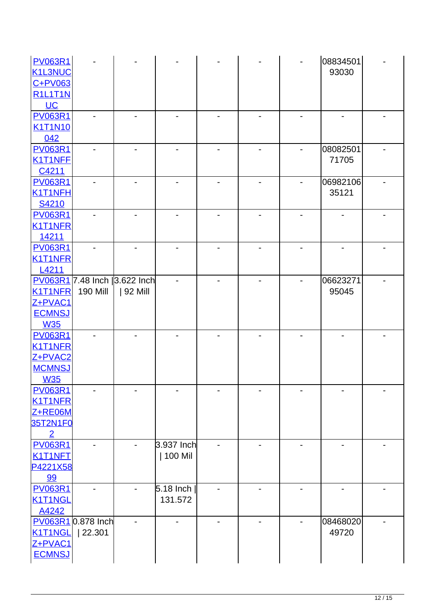| <b>PV063R1</b><br><b>K1L3NUC</b><br>$C+PV$ 063<br><b>R1L1T1N</b>           |                             |                                            |                         |  | 08834501<br>93030 |  |
|----------------------------------------------------------------------------|-----------------------------|--------------------------------------------|-------------------------|--|-------------------|--|
| $UC$<br><b>PV063R1</b><br><b>K1T1N10</b>                                   |                             |                                            |                         |  |                   |  |
| 042<br><b>PV063R1</b><br>K1T1NFE<br>C4211                                  |                             |                                            |                         |  | 08082501<br>71705 |  |
| <b>PV063R1</b><br>K1T1NFH<br>S4210                                         |                             |                                            |                         |  | 06982106<br>35121 |  |
| <b>PV063R1</b><br><b>K1T1NFR</b><br>14211                                  |                             |                                            |                         |  |                   |  |
| <b>PV063R1</b><br><b>K1T1NFR</b><br>L <sub>4211</sub>                      |                             |                                            |                         |  |                   |  |
| <b>K1T1NFR</b><br>Z+PVAC1<br><b>ECMNSJ</b><br><b>W35</b>                   | <b>190 Mill</b>             | PV063R1 7.48 Inch  3.622 Inch<br>  92 Mill |                         |  | 06623271<br>95045 |  |
| <b>PV063R1</b><br><b>K1T1NFR</b><br>Z+PVAC2<br><b>MCMNSJ</b><br><b>W35</b> |                             |                                            |                         |  |                   |  |
| <b>PV063R1</b><br><b>K1T1NFR</b><br>Z+RE06M<br>35T2N1F0<br>$\overline{2}$  |                             |                                            |                         |  |                   |  |
| <b>PV063R1</b><br>K1T1NFT<br>P4221X58<br>99                                |                             |                                            | 3.937 Inch<br>  100 Mil |  |                   |  |
| <b>PV063R1</b><br>K1T1NGL<br>A4242                                         |                             |                                            | $5.18$ Inch<br>131.572  |  |                   |  |
| K1T1NGL<br>Z+PVAC1<br><b>ECMNSJ</b>                                        | PV063R10.878 Inch<br>22.301 |                                            |                         |  | 08468020<br>49720 |  |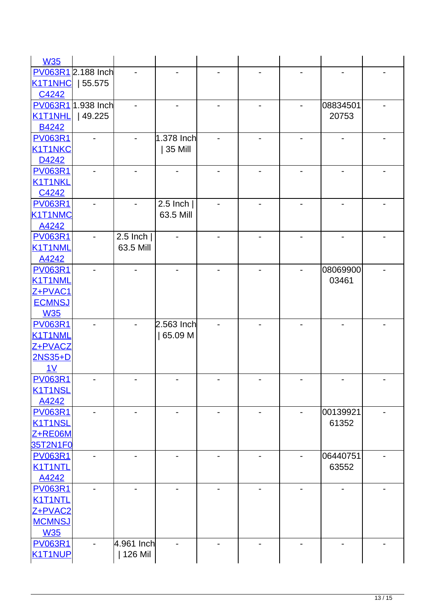| <b>W35</b>     |                    |            |                |   |                              |                          |  |
|----------------|--------------------|------------|----------------|---|------------------------------|--------------------------|--|
|                | PV063R1 2.188 Inch |            |                |   |                              |                          |  |
| <b>K1T1NHC</b> | 55.575             |            |                |   |                              |                          |  |
| C4242          |                    |            |                |   |                              |                          |  |
|                | PV063R1 1.938 Inch |            |                |   |                              | 08834501                 |  |
| <b>K1T1NHL</b> | 49.225             |            |                |   |                              | 20753                    |  |
| B4242          |                    |            |                |   |                              |                          |  |
| <b>PV063R1</b> |                    |            | 1.378 Inch     |   |                              |                          |  |
| <b>K1T1NKC</b> |                    |            | 35 Mill        |   |                              |                          |  |
| D4242          |                    |            |                |   |                              |                          |  |
| <b>PV063R1</b> |                    |            |                |   |                              |                          |  |
| <b>K1T1NKL</b> |                    |            |                |   |                              |                          |  |
| C4242          |                    |            |                |   |                              |                          |  |
| <b>PV063R1</b> |                    |            | 2.5 Inch $ $   |   |                              |                          |  |
| <b>K1T1NMC</b> |                    |            | 63.5 Mill      |   |                              |                          |  |
| A4242          |                    |            |                |   |                              |                          |  |
| <b>PV063R1</b> |                    | 2.5 $lnch$ |                |   |                              |                          |  |
| K1T1NML        |                    | 63.5 Mill  |                |   |                              |                          |  |
| A4242          |                    |            |                |   |                              |                          |  |
| <b>PV063R1</b> |                    |            |                |   |                              | 08069900                 |  |
| K1T1NML        |                    |            |                |   |                              | 03461                    |  |
| Z+PVAC1        |                    |            |                |   |                              |                          |  |
| <b>ECMNSJ</b>  |                    |            |                |   |                              |                          |  |
| <b>W35</b>     |                    |            |                |   |                              |                          |  |
| <b>PV063R1</b> |                    |            | $2.563$ Inch   |   |                              |                          |  |
| K1T1NML        |                    |            | 65.09 M        |   |                              |                          |  |
| Z+PVACZ        |                    |            |                |   |                              |                          |  |
| 2NS35+D        |                    |            |                |   |                              |                          |  |
| 1 <sub>V</sub> |                    |            |                |   |                              |                          |  |
| <b>PV063R1</b> |                    |            |                |   |                              |                          |  |
| <b>K1T1NSL</b> |                    |            |                |   |                              |                          |  |
| A4242          |                    |            |                |   |                              |                          |  |
| <b>PV063R1</b> |                    |            | $\blacksquare$ |   |                              | 00139921                 |  |
| <b>K1T1NSL</b> |                    |            |                |   |                              | 61352                    |  |
| Z+RE06M        |                    |            |                |   |                              |                          |  |
| 35T2N1F0       |                    |            |                |   |                              |                          |  |
| <b>PV063R1</b> |                    |            |                | - |                              | 06440751                 |  |
| K1T1NTL        |                    |            |                |   |                              | 63552                    |  |
| A4242          |                    |            |                |   |                              |                          |  |
| <b>PV063R1</b> |                    |            |                |   |                              |                          |  |
| <b>K1T1NTL</b> |                    |            |                |   |                              |                          |  |
| Z+PVAC2        |                    |            |                |   |                              |                          |  |
| <b>MCMNSJ</b>  |                    |            |                |   |                              |                          |  |
| <b>W35</b>     |                    |            |                |   |                              |                          |  |
| <b>PV063R1</b> |                    | 4.961 Inch | -              | - | $\qquad \qquad \blacksquare$ | $\overline{\phantom{0}}$ |  |
| K1T1NUP        |                    | 126 Mil    |                |   |                              |                          |  |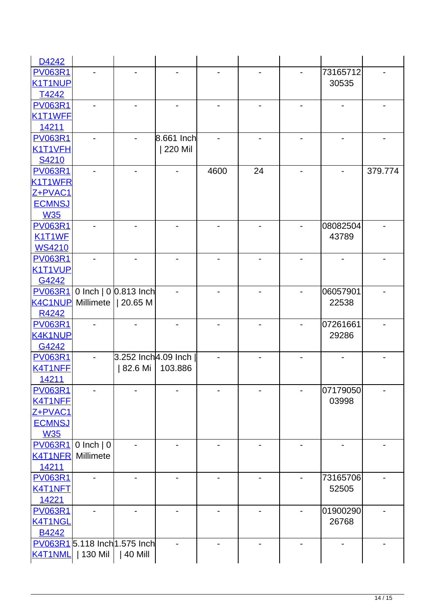| D4242          |               |                               |            |      |    |          |         |
|----------------|---------------|-------------------------------|------------|------|----|----------|---------|
| <b>PV063R1</b> |               |                               |            |      |    | 73165712 |         |
| <b>K1T1NUP</b> |               |                               |            |      |    | 30535    |         |
| T4242          |               |                               |            |      |    |          |         |
| <b>PV063R1</b> |               |                               |            |      |    |          |         |
| K1T1WFE        |               |                               |            |      |    |          |         |
| 14211          |               |                               |            |      |    |          |         |
| <b>PV063R1</b> |               |                               | 8.661 Inch |      |    |          |         |
| K1T1VFH        |               |                               | 220 Mil    |      |    |          |         |
| S4210          |               |                               |            |      |    |          |         |
| <b>PV063R1</b> |               |                               |            | 4600 | 24 |          | 379.774 |
| K1T1WFR        |               |                               |            |      |    |          |         |
| Z+PVAC1        |               |                               |            |      |    |          |         |
| <b>ECMNSJ</b>  |               |                               |            |      |    |          |         |
| <b>W35</b>     |               |                               |            |      |    |          |         |
| <b>PV063R1</b> |               |                               |            |      |    | 08082504 |         |
| K1T1WF         |               |                               |            |      |    | 43789    |         |
| <b>WS4210</b>  |               |                               |            |      |    |          |         |
| <b>PV063R1</b> |               |                               |            |      |    |          |         |
| K1T1VUP        |               |                               |            |      |    |          |         |
| G4242          |               |                               |            |      |    |          |         |
| <b>PV063R1</b> |               | 0 Inch   $0$ 0.813 Inch       |            |      |    | 06057901 |         |
| <b>K4C1NUP</b> |               | Millimete   20.65 M           |            |      |    | 22538    |         |
| R4242          |               |                               |            |      |    |          |         |
| <b>PV063R1</b> |               |                               |            |      |    | 07261661 |         |
| <b>K4K1NUP</b> |               |                               |            |      |    | 29286    |         |
| G4242          |               |                               |            |      |    |          |         |
| <b>PV063R1</b> |               | 3.252 Inch4.09 Inch           |            |      |    |          |         |
| K4T1NFE        |               | 82.6 Mi                       | 103.886    |      |    |          |         |
| 14211          |               |                               |            |      |    |          |         |
| <b>PV063R1</b> |               |                               |            |      |    | 07179050 |         |
| K4T1NFE        |               |                               |            |      |    | 03998    |         |
| Z+PVAC1        |               |                               |            |      |    |          |         |
| <b>ECMNSJ</b>  |               |                               |            |      |    |          |         |
| <b>W35</b>     |               |                               |            |      |    |          |         |
| <b>PV063R1</b> | $0$ Inch $ 0$ |                               |            |      |    |          |         |
| <b>K4T1NFR</b> | Millimete     |                               |            |      |    |          |         |
| 14211          |               |                               |            |      |    |          |         |
| <b>PV063R1</b> |               |                               |            |      |    | 73165706 |         |
| K4T1NFT        |               |                               |            |      |    | 52505    |         |
| 14221          |               |                               |            |      |    |          |         |
| <b>PV063R1</b> |               |                               |            |      |    | 01900290 |         |
| K4T1NGL        |               |                               |            |      |    | 26768    |         |
| B4242          |               |                               |            |      |    |          |         |
|                |               | PV063R1 5.118 Inch 1.575 Inch |            |      |    |          |         |
| K4T1NML        | 130 Mil       | 40 Mill                       |            |      |    |          |         |
|                |               |                               |            |      |    |          |         |